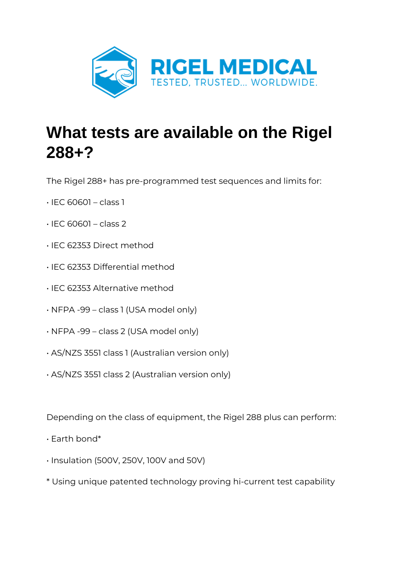

## **What tests are available on the Rigel 288+?**

The Rigel 288+ has pre-programmed test sequences and limits for:

- $\cdot$  IEC 60601 class 1
- $\cdot$  IEC 60601 class 2
- IEC 62353 Direct method
- IEC 62353 Differential method
- IEC 62353 Alternative method
- NFPA -99 class 1 (USA model only)
- NFPA -99 class 2 (USA model only)
- AS/NZS 3551 class 1 (Australian version only)
- AS/NZS 3551 class 2 (Australian version only)

Depending on the class of equipment, the Rigel 288 plus can perform:

- Earth bond\*
- Insulation (500V, 250V, 100V and 50V)
- \* Using unique patented technology proving hi-current test capability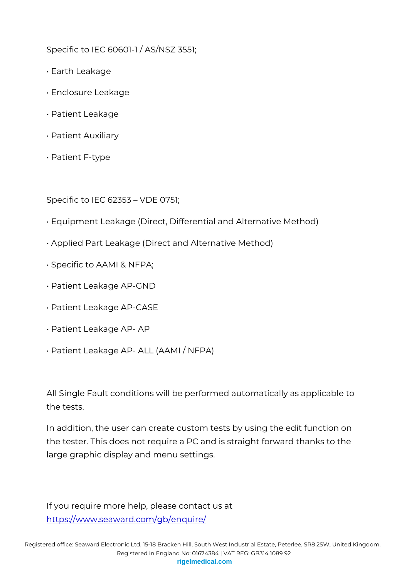Specific to IEC 60601-1 / AS/NSZ 3551;

- " Earth Leakage
- " Enclosure Leakage
- " Patient Leakage
- " Patient Auxiliary
- " Patient F-type

Specific to IEC 62353 VDE 0751;

- " Equipment Leakage (Direct, Differential and Alternative Method)
- " Applied Part Leakage (Direct and Alternative Method)
- " Specific to AAMI & NFPA;
- " Patient Leakage AP-GND
- " Patient Leakage AP-CASE
- " Patient Leakage AP- AP
- " Patient Leakage AP- ALL (AAMI / NFPA)

All Single Fault conditions will be performed automatically as the tests.

In addition, the user can create custom tests by using the ed the tester. This does not require a PC and is straight forward large graphic display and menu settings.

If you require more help, please contact us at [https://www.seaward.com/g](https://www.seaward.com/gb/enquiry/)b/enquire/